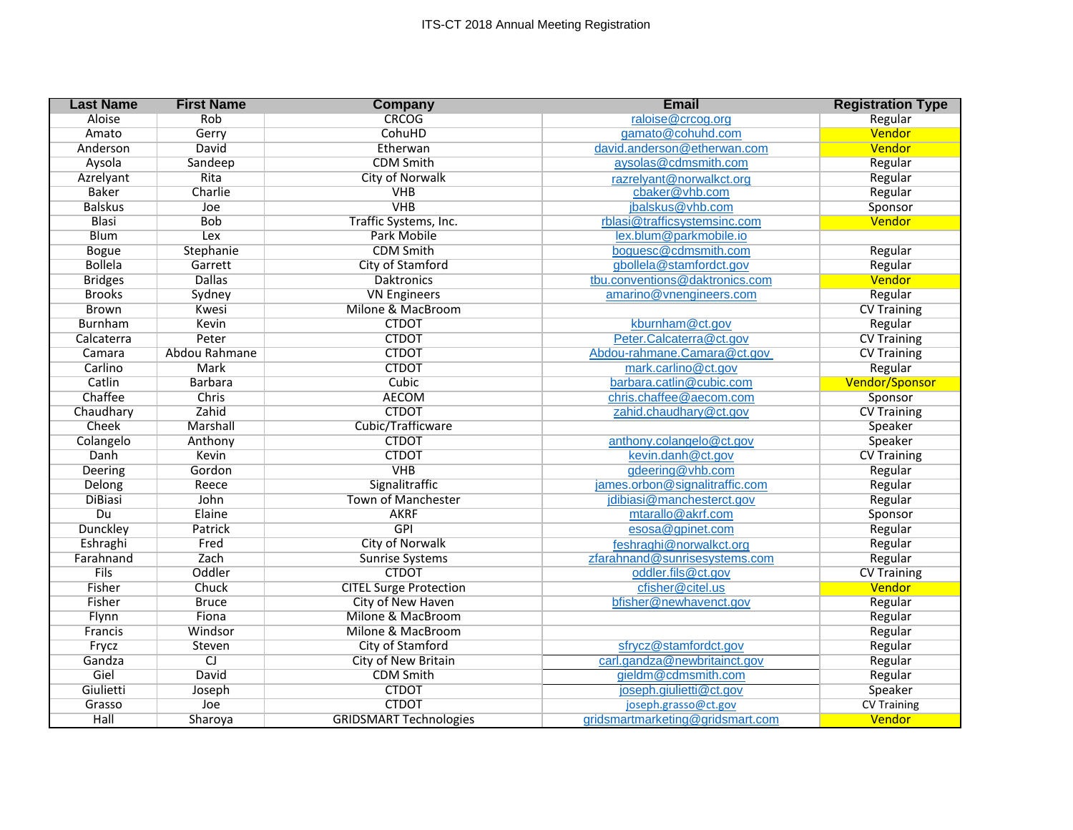| <b>Last Name</b> | <b>First Name</b> | <b>Company</b>                | <b>Email</b>                     | <b>Registration Type</b> |
|------------------|-------------------|-------------------------------|----------------------------------|--------------------------|
| Aloise           | Rob               | <b>CRCOG</b>                  | raloise@crcog.org                | Regular                  |
| Amato            | Gerry             | CohuHD                        | gamato@cohuhd.com                | Vendor                   |
| Anderson         | David             | Etherwan                      | david.anderson@etherwan.com      | Vendor                   |
| Aysola           | Sandeep           | <b>CDM Smith</b>              | aysolas@cdmsmith.com             | Regular                  |
| Azrelyant        | Rita              | <b>City of Norwalk</b>        | razrelyant@norwalkct.org         | Regular                  |
| <b>Baker</b>     | Charlie           | <b>VHB</b>                    | cbaker@vhb.com                   | Regular                  |
| <b>Balskus</b>   | Joe               | <b>VHB</b>                    | jbalskus@vhb.com                 | Sponsor                  |
| Blasi            | <b>Bob</b>        | Traffic Systems, Inc.         | rblasi@trafficsystemsinc.com     | Vendor                   |
| <b>Blum</b>      | Lex               | Park Mobile                   | lex.blum@parkmobile.io           |                          |
| <b>Bogue</b>     | Stephanie         | <b>CDM Smith</b>              | boquesc@cdmsmith.com             | Regular                  |
| <b>Bollela</b>   | Garrett           | City of Stamford              | gbollela@stamfordct.gov          | Regular                  |
| <b>Bridges</b>   | <b>Dallas</b>     | <b>Daktronics</b>             | tbu.conventions@daktronics.com   | Vendor                   |
| <b>Brooks</b>    | Sydney            | <b>VN Engineers</b>           | amarino@vnengineers.com          | Regular                  |
| <b>Brown</b>     | Kwesi             | Milone & MacBroom             |                                  | <b>CV Training</b>       |
| Burnham          | Kevin             | <b>CTDOT</b>                  | kburnham@ct.gov                  | Regular                  |
| Calcaterra       | Peter             | <b>CTDOT</b>                  | Peter.Calcaterra@ct.gov          | <b>CV Training</b>       |
| Camara           | Abdou Rahmane     | <b>CTDOT</b>                  | Abdou-rahmane.Camara@ct.gov      | <b>CV Training</b>       |
| Carlino          | Mark              | <b>CTDOT</b>                  | mark.carlino@ct.gov              | Regular                  |
| Catlin           | <b>Barbara</b>    | Cubic                         | barbara.catlin@cubic.com         | <b>Vendor/Sponsor</b>    |
| Chaffee          | Chris             | <b>AECOM</b>                  | chris.chaffee@aecom.com          | Sponsor                  |
| Chaudhary        | Zahid             | <b>CTDOT</b>                  | zahid.chaudhary@ct.gov           | <b>CV Training</b>       |
| Cheek            | Marshall          | Cubic/Trafficware             |                                  | Speaker                  |
| Colangelo        | Anthony           | <b>CTDOT</b>                  | anthony.colangelo@ct.gov         | Speaker                  |
| Danh             | Kevin             | <b>CTDOT</b>                  | kevin.danh@ct.gov                | <b>CV Training</b>       |
| Deering          | Gordon            | <b>VHB</b>                    | gdeering@vhb.com                 | Regular                  |
| Delong           | Reece             | Signalitraffic                | james.orbon@signalitraffic.com   | Regular                  |
| <b>DiBiasi</b>   | John              | <b>Town of Manchester</b>     | jdibiasi@manchesterct.gov        | Regular                  |
| Du               | Elaine            | <b>AKRF</b>                   | mtarallo@akrf.com                | Sponsor                  |
| <b>Dunckley</b>  | Patrick           | <b>GPI</b>                    | esosa@gpinet.com                 | Regular                  |
| Eshraghi         | Fred              | City of Norwalk               | feshraghi@norwalkct.org          | Regular                  |
| Farahnand        | Zach              | <b>Sunrise Systems</b>        | zfarahnand@sunrisesystems.com    | Regular                  |
| <b>Fils</b>      | Oddler            | <b>CTDOT</b>                  | oddler.fils@ct.gov               | <b>CV Training</b>       |
| Fisher           | Chuck             | <b>CITEL Surge Protection</b> | cfisher@citel.us                 | Vendor                   |
| Fisher           | <b>Bruce</b>      | City of New Haven             | bfisher@newhavenct.gov           | Regular                  |
| Flynn            | Fiona             | Milone & MacBroom             |                                  | Regular                  |
| Francis          | Windsor           | Milone & MacBroom             |                                  | Regular                  |
| Frycz            | Steven            | City of Stamford              | sfrycz@stamfordct.gov            | Regular                  |
| Gandza           | $\overline{C}$    | City of New Britain           | carl.gandza@newbritainct.gov     | Regular                  |
| Giel             | David             | <b>CDM Smith</b>              | gieldm@cdmsmith.com              | Regular                  |
| Giulietti        | Joseph            | <b>CTDOT</b>                  | joseph.giulietti@ct.gov          | Speaker                  |
| Grasso           | Joe               | <b>CTDOT</b>                  | joseph.grasso@ct.gov             | <b>CV Training</b>       |
| Hall             | Sharoya           | <b>GRIDSMART Technologies</b> | gridsmartmarketing@gridsmart.com | Vendor                   |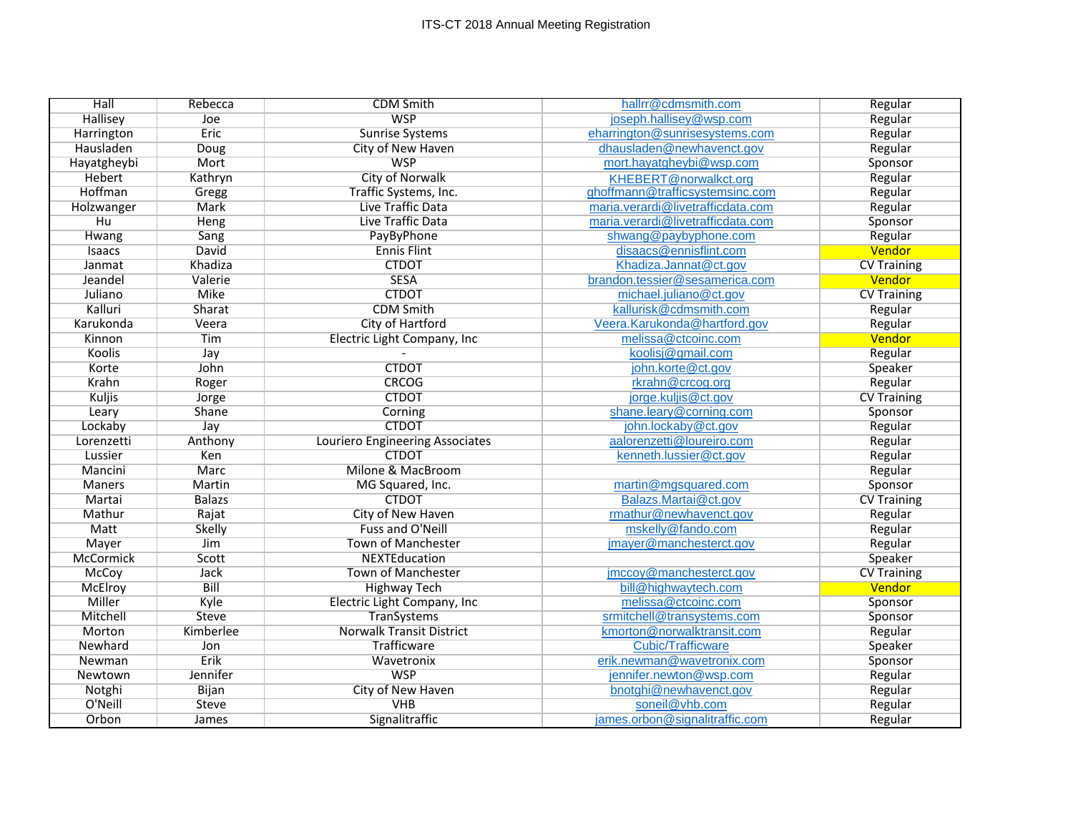| Hall             | Rebecca       | <b>CDM Smith</b>                | hallrr@cdmsmith.com               | Regular            |
|------------------|---------------|---------------------------------|-----------------------------------|--------------------|
| Hallisey         | Joe           | <b>WSP</b>                      | joseph.hallisey@wsp.com           | Regular            |
| Harrington       | Eric          | <b>Sunrise Systems</b>          | eharrington@sunrisesystems.com    | Regular            |
| Hausladen        | Doug          | City of New Haven               | dhausladen@newhavenct.gov         | Regular            |
| Hayatgheybi      | Mort          | <b>WSP</b>                      | mort.hayatgheybi@wsp.com          | Sponsor            |
| Hebert           | Kathryn       | City of Norwalk                 | KHEBERT@norwalkct.org             | Regular            |
| Hoffman          | Gregg         | Traffic Systems, Inc.           | ghoffmann@trafficsystemsinc.com   | Regular            |
| Holzwanger       | Mark          | Live Traffic Data               | maria.verardi@livetrafficdata.com | Regular            |
| H <sub>u</sub>   | Heng          | Live Traffic Data               | maria.verardi@livetrafficdata.com | Sponsor            |
| Hwang            | Sang          | PayByPhone                      | shwang@paybyphone.com             | Regular            |
| Isaacs           | David         | <b>Ennis Flint</b>              | disaacs@ennisflint.com            | Vendor             |
| Janmat           | Khadiza       | <b>CTDOT</b>                    | Khadiza.Jannat@ct.gov             | <b>CV Training</b> |
| Jeandel          | Valerie       | <b>SESA</b>                     | brandon.tessier@sesamerica.com    | Vendor             |
| Juliano          | <b>Mike</b>   | <b>CTDOT</b>                    | michael.juliano@ct.gov            | <b>CV Training</b> |
| Kalluri          | Sharat        | <b>CDM Smith</b>                | kallurisk@cdmsmith.com            | Regular            |
| Karukonda        | Veera         | <b>City of Hartford</b>         | Veera.Karukonda@hartford.gov      | Regular            |
| Kinnon           | Tim           | Electric Light Company, Inc     | melissa@ctcoinc.com               | Vendor             |
| Koolis           | Jay           |                                 | koolisj@gmail.com                 | Regular            |
| Korte            | John          | <b>CTDOT</b>                    | john.korte@ct.gov                 | Speaker            |
| Krahn            | Roger         | <b>CRCOG</b>                    | rkrahn@crcog.org                  | Regular            |
| <b>Kuljis</b>    | Jorge         | <b>CTDOT</b>                    | jorge.kuljis@ct.gov               | <b>CV Training</b> |
| Leary            | Shane         | Corning                         | shane.leary@corning.com           | Sponsor            |
| Lockaby          | Jay           | <b>CTDOT</b>                    | john.lockaby@ct.gov               | Regular            |
| Lorenzetti       | Anthony       | Louriero Engineering Associates | aalorenzetti@loureiro.com         | Regular            |
| Lussier          | Ken           | <b>CTDOT</b>                    | kenneth.lussier@ct.gov            | Regular            |
| Mancini          | Marc          | Milone & MacBroom               |                                   | Regular            |
| <b>Maners</b>    | Martin        | MG Squared, Inc.                | martin@mgsquared.com              | Sponsor            |
| Martai           | <b>Balazs</b> | <b>CTDOT</b>                    | Balazs.Martai@ct.gov              | <b>CV Training</b> |
| Mathur           | Rajat         | City of New Haven               | rmathur@newhavenct.gov            | Regular            |
| Matt             | <b>Skelly</b> | Fuss and O'Neill                | mskelly@fando.com                 | Regular            |
| Mayer            | Jim           | <b>Town of Manchester</b>       | jmayer@manchesterct.gov           | Regular            |
| <b>McCormick</b> | Scott         | NEXTEducation                   |                                   | Speaker            |
| McCoy            | <b>Jack</b>   | Town of Manchester              | jmccoy@manchesterct.gov           | <b>CV Training</b> |
| McElroy          | <b>Bill</b>   | <b>Highway Tech</b>             | bill@highwaytech.com              | Vendor             |
| Miller           | Kyle          | Electric Light Company, Inc     | melissa@ctcoinc.com               | Sponsor            |
| Mitchell         | Steve         | TranSystems                     | srmitchell@transystems.com        | Sponsor            |
| Morton           | Kimberlee     | <b>Norwalk Transit District</b> | kmorton@norwalktransit.com        | Regular            |
| Newhard          | Jon           | Trafficware                     | <b>Cubic/Trafficware</b>          | Speaker            |
| Newman           | Erik          | Wavetronix                      | erik.newman@wavetronix.com        | Sponsor            |
| Newtown          | Jennifer      | <b>WSP</b>                      | jennifer.newton@wsp.com           | Regular            |
| Notghi           | Bijan         | City of New Haven               | bnotghi@newhavenct.gov            | Regular            |
| O'Neill          | <b>Steve</b>  | <b>VHB</b>                      | soneil@vhb.com                    | Regular            |
| Orbon            | James         | Signalitraffic                  | james.orbon@signalitraffic.com    | Regular            |